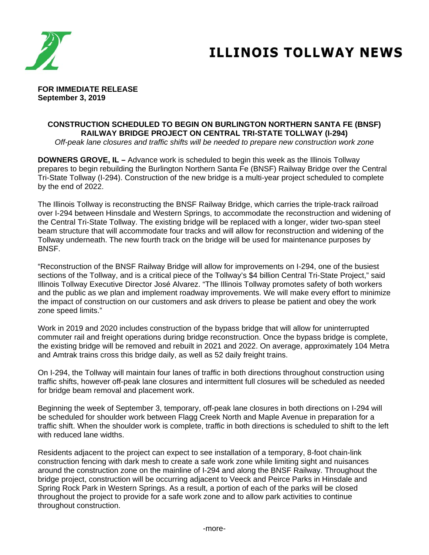

# **ILLINOIS TOLLWAY NEWS**

**FOR IMMEDIATE RELEASE September 3, 2019** 

# **CONSTRUCTION SCHEDULED TO BEGIN ON BURLINGTON NORTHERN SANTA FE (BNSF) RAILWAY BRIDGE PROJECT ON CENTRAL TRI-STATE TOLLWAY (I-294)**

*Off-peak lane closures and traffic shifts will be needed to prepare new construction work zone*

**DOWNERS GROVE, IL –** Advance work is scheduled to begin this week as the Illinois Tollway prepares to begin rebuilding the Burlington Northern Santa Fe (BNSF) Railway Bridge over the Central Tri-State Tollway (I-294). Construction of the new bridge is a multi-year project scheduled to complete by the end of 2022.

The Illinois Tollway is reconstructing the BNSF Railway Bridge, which carries the triple-track railroad over I-294 between Hinsdale and Western Springs, to accommodate the reconstruction and widening of the Central Tri-State Tollway. The existing bridge will be replaced with a longer, wider two-span steel beam structure that will accommodate four tracks and will allow for reconstruction and widening of the Tollway underneath. The new fourth track on the bridge will be used for maintenance purposes by **BNSF** 

"Reconstruction of the BNSF Railway Bridge will allow for improvements on I-294, one of the busiest sections of the Tollway, and is a critical piece of the Tollway's \$4 billion Central Tri-State Project," said Illinois Tollway Executive Director José Alvarez. "The Illinois Tollway promotes safety of both workers and the public as we plan and implement roadway improvements. We will make every effort to minimize the impact of construction on our customers and ask drivers to please be patient and obey the work zone speed limits."

Work in 2019 and 2020 includes construction of the bypass bridge that will allow for uninterrupted commuter rail and freight operations during bridge reconstruction. Once the bypass bridge is complete, the existing bridge will be removed and rebuilt in 2021 and 2022. On average, approximately 104 Metra and Amtrak trains cross this bridge daily, as well as 52 daily freight trains.

On I-294, the Tollway will maintain four lanes of traffic in both directions throughout construction using traffic shifts, however off-peak lane closures and intermittent full closures will be scheduled as needed for bridge beam removal and placement work.

Beginning the week of September 3, temporary, off-peak lane closures in both directions on I-294 will be scheduled for shoulder work between Flagg Creek North and Maple Avenue in preparation for a traffic shift. When the shoulder work is complete, traffic in both directions is scheduled to shift to the left with reduced lane widths.

Residents adjacent to the project can expect to see installation of a temporary, 8-foot chain-link construction fencing with dark mesh to create a safe work zone while limiting sight and nuisances around the construction zone on the mainline of I-294 and along the BNSF Railway. Throughout the bridge project, construction will be occurring adjacent to Veeck and Peirce Parks in Hinsdale and Spring Rock Park in Western Springs. As a result, a portion of each of the parks will be closed throughout the project to provide for a safe work zone and to allow park activities to continue throughout construction.